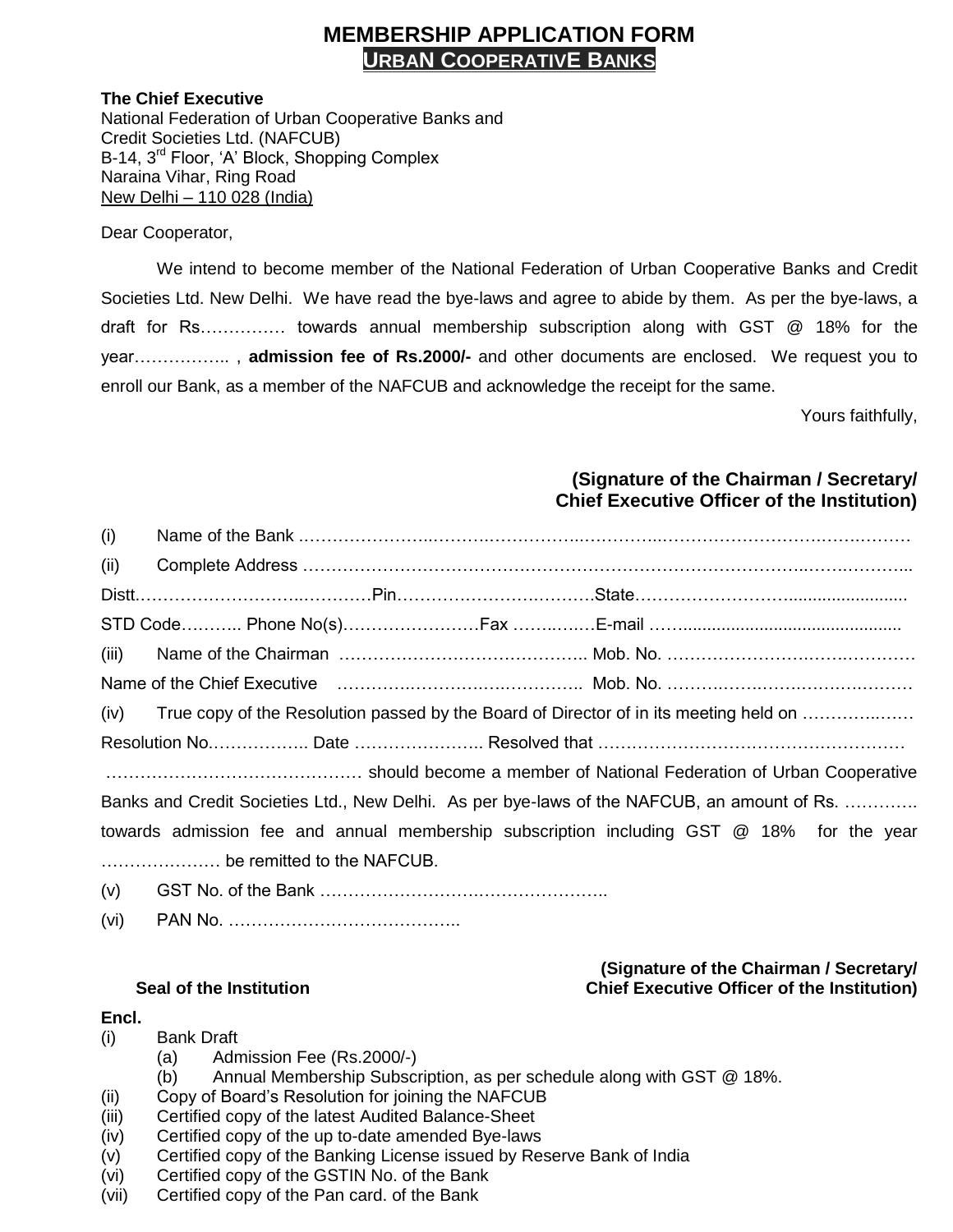# **MEMBERSHIP APPLICATION FORM URBAN COOPERATIVE BANKS**

#### **The Chief Executive**

National Federation of Urban Cooperative Banks and Credit Societies Ltd. (NAFCUB) B-14, 3<sup>rd</sup> Floor, 'A' Block, Shopping Complex Naraina Vihar, Ring Road New Delhi – 110 028 (India)

Dear Cooperator,

We intend to become member of the National Federation of Urban Cooperative Banks and Credit Societies Ltd. New Delhi. We have read the bye-laws and agree to abide by them. As per the bye-laws, a draft for Rs…………… towards annual membership subscription along with GST @ 18% for the year…………….. , **admission fee of Rs.2000/-** and other documents are enclosed. We request you to enroll our Bank, as a member of the NAFCUB and acknowledge the receipt for the same.

Yours faithfully,

## **(Signature of the Chairman / Secretary/ Chief Executive Officer of the Institution)**

**(Signature of the Chairman / Secretary/**

| (i)                                                                                         |                                                                                            |  |  |  |
|---------------------------------------------------------------------------------------------|--------------------------------------------------------------------------------------------|--|--|--|
| (ii)                                                                                        |                                                                                            |  |  |  |
|                                                                                             |                                                                                            |  |  |  |
|                                                                                             |                                                                                            |  |  |  |
| (iii)                                                                                       |                                                                                            |  |  |  |
|                                                                                             |                                                                                            |  |  |  |
|                                                                                             | (iv) True copy of the Resolution passed by the Board of Director of in its meeting held on |  |  |  |
|                                                                                             |                                                                                            |  |  |  |
|                                                                                             | should become a member of National Federation of Urban Cooperative                         |  |  |  |
| Banks and Credit Societies Ltd., New Delhi. As per bye-laws of the NAFCUB, an amount of Rs. |                                                                                            |  |  |  |
|                                                                                             | towards admission fee and annual membership subscription including GST @ 18% for the year  |  |  |  |
|                                                                                             |                                                                                            |  |  |  |
| (v)                                                                                         |                                                                                            |  |  |  |

(vi) PAN No. …………………………………..

## **Seal of the Institution Chief Executive Officer of the Institution)**

## **Encl.**

- (i) Bank Draft
	- (a) Admission Fee (Rs.2000/-)
	- (b) Annual Membership Subscription, as per schedule along with GST @ 18%.
- (ii) Copy of Board's Resolution for joining the NAFCUB
- (iii) Certified copy of the latest Audited Balance-Sheet
- (iv) Certified copy of the up to-date amended Bye-laws
- (v) Certified copy of the Banking License issued by Reserve Bank of India
- (vi) Certified copy of the GSTIN No. of the Bank
- (vii) Certified copy of the Pan card. of the Bank